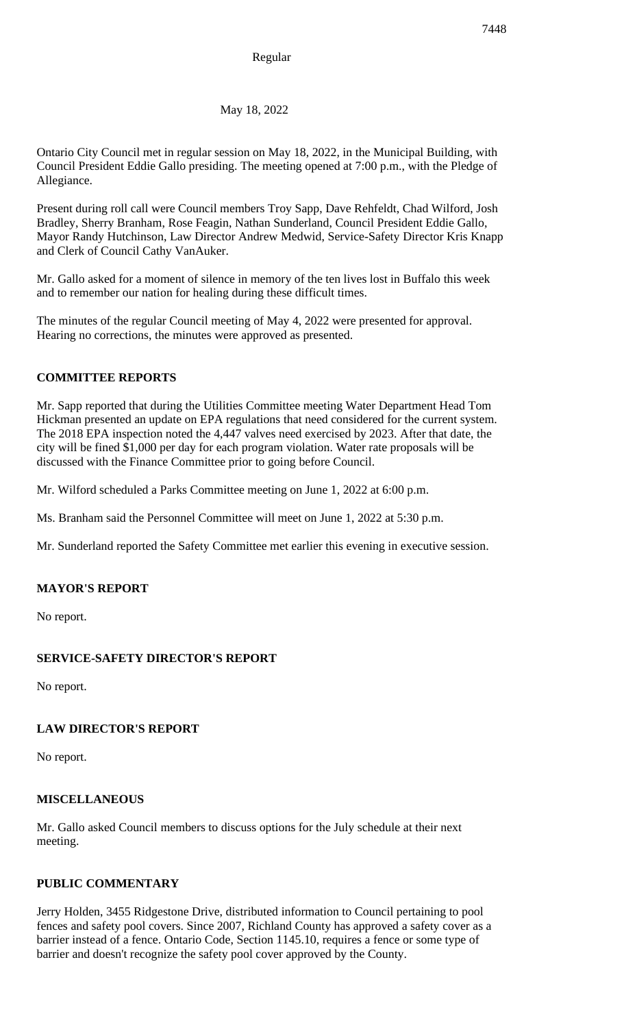May 18, 2022

Ontario City Council met in regular session on May 18, 2022, in the Municipal Building, with Council President Eddie Gallo presiding. The meeting opened at 7:00 p.m., with the Pledge of Allegiance.

Present during roll call were Council members Troy Sapp, Dave Rehfeldt, Chad Wilford, Josh Bradley, Sherry Branham, Rose Feagin, Nathan Sunderland, Council President Eddie Gallo, Mayor Randy Hutchinson, Law Director Andrew Medwid, Service-Safety Director Kris Knapp and Clerk of Council Cathy VanAuker.

Mr. Gallo asked for a moment of silence in memory of the ten lives lost in Buffalo this week and to remember our nation for healing during these difficult times.

The minutes of the regular Council meeting of May 4, 2022 were presented for approval. Hearing no corrections, the minutes were approved as presented.

# **COMMITTEE REPORTS**

Mr. Sapp reported that during the Utilities Committee meeting Water Department Head Tom Hickman presented an update on EPA regulations that need considered for the current system. The 2018 EPA inspection noted the 4,447 valves need exercised by 2023. After that date, the city will be fined \$1,000 per day for each program violation. Water rate proposals will be discussed with the Finance Committee prior to going before Council.

Mr. Wilford scheduled a Parks Committee meeting on June 1, 2022 at 6:00 p.m.

Ms. Branham said the Personnel Committee will meet on June 1, 2022 at 5:30 p.m.

Mr. Sunderland reported the Safety Committee met earlier this evening in executive session.

## **MAYOR'S REPORT**

No report.

# **SERVICE-SAFETY DIRECTOR'S REPORT**

No report.

## **LAW DIRECTOR'S REPORT**

No report.

## **MISCELLANEOUS**

Mr. Gallo asked Council members to discuss options for the July schedule at their next meeting.

## **PUBLIC COMMENTARY**

Jerry Holden, 3455 Ridgestone Drive, distributed information to Council pertaining to pool fences and safety pool covers. Since 2007, Richland County has approved a safety cover as a barrier instead of a fence. Ontario Code, Section 1145.10, requires a fence or some type of barrier and doesn't recognize the safety pool cover approved by the County.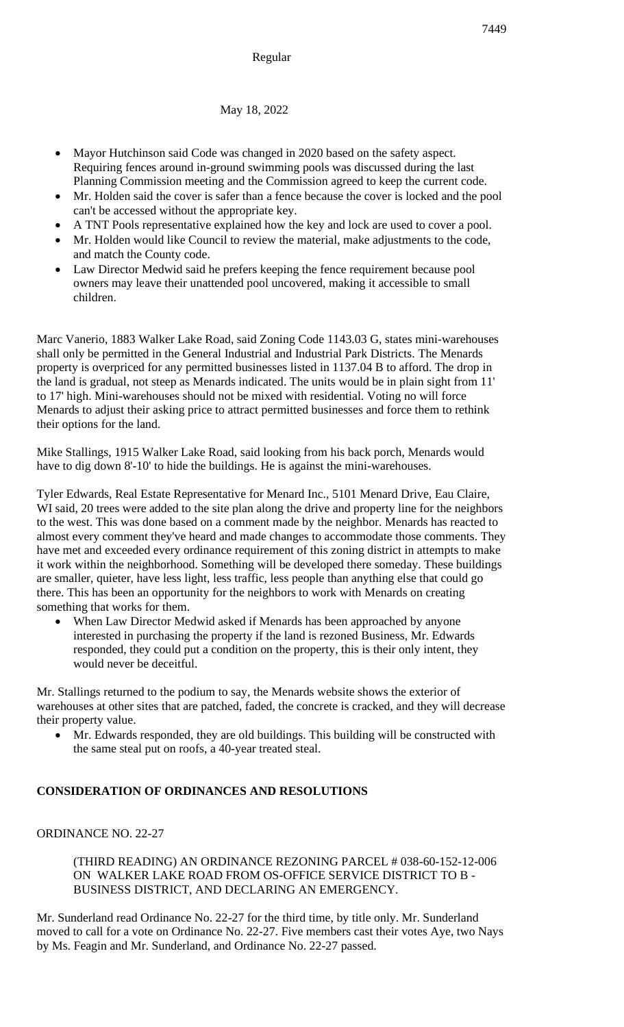## Regular

May 18, 2022

- Mayor Hutchinson said Code was changed in 2020 based on the safety aspect. Requiring fences around in-ground swimming pools was discussed during the last Planning Commission meeting and the Commission agreed to keep the current code.
- Mr. Holden said the cover is safer than a fence because the cover is locked and the pool can't be accessed without the appropriate key.
- A TNT Pools representative explained how the key and lock are used to cover a pool.
- Mr. Holden would like Council to review the material, make adjustments to the code, and match the County code.
- Law Director Medwid said he prefers keeping the fence requirement because pool owners may leave their unattended pool uncovered, making it accessible to small children.

Marc Vanerio, 1883 Walker Lake Road, said Zoning Code 1143.03 G, states mini-warehouses shall only be permitted in the General Industrial and Industrial Park Districts. The Menards property is overpriced for any permitted businesses listed in 1137.04 B to afford. The drop in the land is gradual, not steep as Menards indicated. The units would be in plain sight from 11' to 17' high. Mini-warehouses should not be mixed with residential. Voting no will force Menards to adjust their asking price to attract permitted businesses and force them to rethink their options for the land.

Mike Stallings, 1915 Walker Lake Road, said looking from his back porch, Menards would have to dig down 8'-10' to hide the buildings. He is against the mini-warehouses.

Tyler Edwards, Real Estate Representative for Menard Inc., 5101 Menard Drive, Eau Claire, WI said, 20 trees were added to the site plan along the drive and property line for the neighbors to the west. This was done based on a comment made by the neighbor. Menards has reacted to almost every comment they've heard and made changes to accommodate those comments. They have met and exceeded every ordinance requirement of this zoning district in attempts to make it work within the neighborhood. Something will be developed there someday. These buildings are smaller, quieter, have less light, less traffic, less people than anything else that could go there. This has been an opportunity for the neighbors to work with Menards on creating something that works for them.

When Law Director Medwid asked if Menards has been approached by anyone interested in purchasing the property if the land is rezoned Business, Mr. Edwards responded, they could put a condition on the property, this is their only intent, they would never be deceitful.

Mr. Stallings returned to the podium to say, the Menards website shows the exterior of warehouses at other sites that are patched, faded, the concrete is cracked, and they will decrease their property value.

• Mr. Edwards responded, they are old buildings. This building will be constructed with the same steal put on roofs, a 40-year treated steal.

## **CONSIDERATION OF ORDINANCES AND RESOLUTIONS**

#### ORDINANCE NO. 22-27

(THIRD READING) AN ORDINANCE REZONING PARCEL # 038-60-152-12-006 ON WALKER LAKE ROAD FROM OS-OFFICE SERVICE DISTRICT TO B - BUSINESS DISTRICT, AND DECLARING AN EMERGENCY.

Mr. Sunderland read Ordinance No. 22-27 for the third time, by title only. Mr. Sunderland moved to call for a vote on Ordinance No. 22-27. Five members cast their votes Aye, two Nays by Ms. Feagin and Mr. Sunderland, and Ordinance No. 22-27 passed.